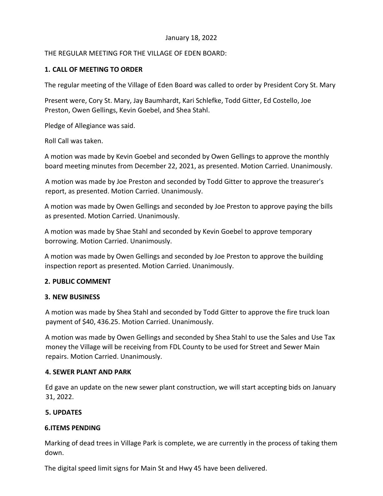### January 18, 2022

# THE REGULAR MEETING FOR THE VILLAGE OF EDEN BOARD:

# **1. CALL OF MEETING TO ORDER**

The regular meeting of the Village of Eden Board was called to order by President Cory St. Mary

Present were, Cory St. Mary, Jay Baumhardt, Kari Schlefke, Todd Gitter, Ed Costello, Joe Preston, Owen Gellings, Kevin Goebel, and Shea Stahl.

Pledge of Allegiance was said.

Roll Call was taken.

A motion was made by Kevin Goebel and seconded by Owen Gellings to approve the monthly board meeting minutes from December 22, 2021, as presented. Motion Carried. Unanimously.

A motion was made by Joe Preston and seconded by Todd Gitter to approve the treasurer's report, as presented. Motion Carried. Unanimously.

A motion was made by Owen Gellings and seconded by Joe Preston to approve paying the bills as presented. Motion Carried. Unanimously.

A motion was made by Shae Stahl and seconded by Kevin Goebel to approve temporary borrowing. Motion Carried. Unanimously.

A motion was made by Owen Gellings and seconded by Joe Preston to approve the building inspection report as presented. Motion Carried. Unanimously.

#### **2. PUBLIC COMMENT**

#### **3. NEW BUSINESS**

A motion was made by Shea Stahl and seconded by Todd Gitter to approve the fire truck loan payment of \$40, 436.25. Motion Carried. Unanimously.

A motion was made by Owen Gellings and seconded by Shea Stahl to use the Sales and Use Tax money the Village will be receiving from FDL County to be used for Street and Sewer Main repairs. Motion Carried. Unanimously.

#### **4. SEWER PLANT AND PARK**

Ed gave an update on the new sewer plant construction, we will start accepting bids on January 31, 2022.

#### **5. UPDATES**

#### **6.ITEMS PENDING**

Marking of dead trees in Village Park is complete, we are currently in the process of taking them down.

The digital speed limit signs for Main St and Hwy 45 have been delivered.